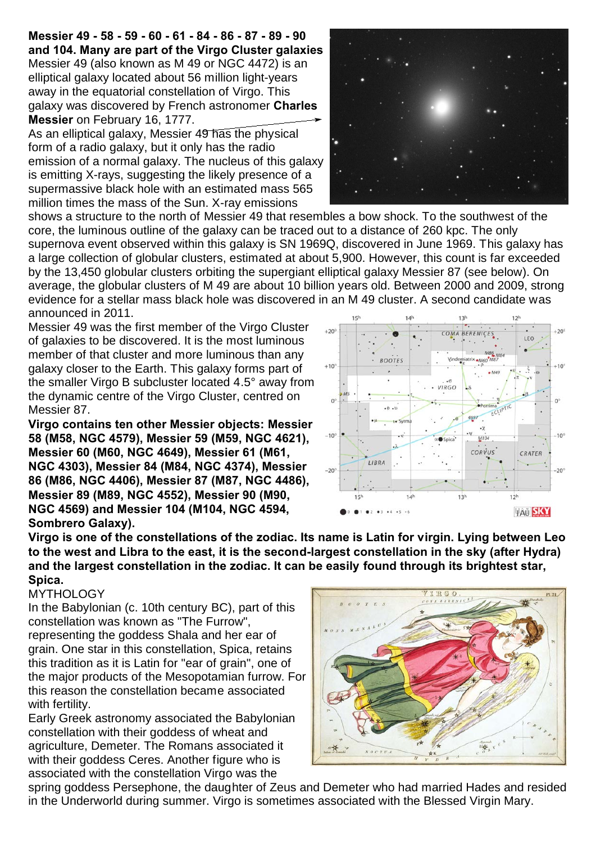**Messier 49 - 58 - 59 - 60 - 61 - 84 - 86 - 87 - 89 - 90 and 104. Many are part of the Virgo Cluster galaxies** Messier 49 (also known as M 49 or NGC 4472) is an elliptical galaxy located about 56 million light-years away in the equatorial constellation of Virgo. This galaxy was discovered by French astronomer **Charles Messier** on February 16, 1777.

As an elliptical galaxy, Messier 49 has the physical form of a radio galaxy, but it only has the radio emission of a normal galaxy. The nucleus of this galaxy is emitting X-rays, suggesting the likely presence of a supermassive black hole with an estimated mass 565 million times the mass of the Sun. X-ray emissions



shows a structure to the north of Messier 49 that resembles a bow shock. To the southwest of the core, the luminous outline of the galaxy can be traced out to a distance of 260 kpc. The only supernova event observed within this galaxy is SN 1969Q, discovered in June 1969. This galaxy has a large collection of globular clusters, estimated at about 5,900. However, this count is far exceeded by the 13,450 globular clusters orbiting the supergiant elliptical galaxy Messier 87 (see below). On average, the globular clusters of M 49 are about 10 billion years old. Between 2000 and 2009, strong evidence for a stellar mass black hole was discovered in an M 49 cluster. A second candidate was announced in 2011.  $12h$ 

Messier 49 was the first member of the Virgo Cluster of galaxies to be discovered. It is the most luminous member of that cluster and more luminous than any galaxy closer to the Earth. This galaxy forms part of the smaller Virgo B subcluster located 4.5° away from the dynamic centre of the Virgo Cluster, centred on Messier 87.

**Virgo contains ten other Messier objects: Messier 58 (M58, NGC 4579), Messier 59 (M59, NGC 4621), Messier 60 (M60, NGC 4649), Messier 61 (M61, NGC 4303), Messier 84 (M84, NGC 4374), Messier 86 (M86, NGC 4406), Messier 87 (M87, NGC 4486), Messier 89 (M89, NGC 4552), Messier 90 (M90, NGC 4569) and Messier 104 (M104, NGC 4594, Sombrero Galaxy).**

**Virgo is one of the constellations of the zodiac. Its name is Latin for virgin. Lying between Leo to the west and Libra to the east, it is the second-largest constellation in the sky (after Hydra) and the largest constellation in the zodiac. It can be easily found through its brightest star, Spica.** 

## **MYTHOLOGY**

In the Babylonian (c. 10th century BC), part of this constellation was known as "The Furrow", representing the goddess Shala and her ear of grain. One star in this constellation, Spica, retains this tradition as it is Latin for "ear of grain", one of the major products of the Mesopotamian furrow. For this reason the constellation became associated with fertility.

Early Greek astronomy associated the Babylonian constellation with their goddess of wheat and agriculture, Demeter. The Romans associated it with their goddess Ceres. Another figure who is associated with the constellation Virgo was the



spring goddess Persephone, the daughter of Zeus and Demeter who had married Hades and resided in the Underworld during summer. Virgo is sometimes associated with the Blessed Virgin Mary.